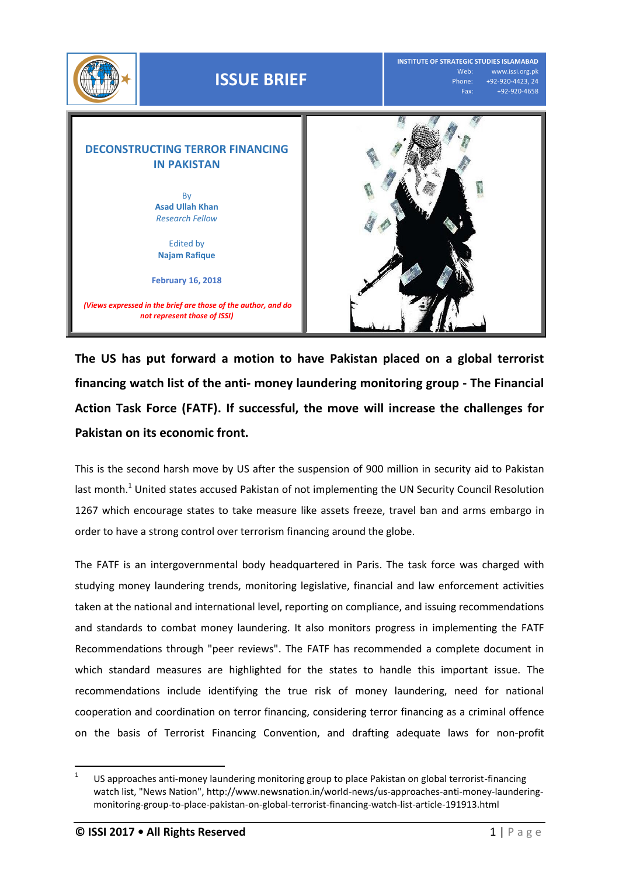

**The US has put forward a motion to have Pakistan placed on a global terrorist financing watch list of the anti- money laundering monitoring group - The Financial Action Task Force (FATF). If successful, the move will increase the challenges for Pakistan on its economic front.**

This is the second harsh move by US after the suspension of 900 million in security aid to Pakistan last month.<sup>1</sup> United states accused Pakistan of not implementing the UN Security Council Resolution 1267 which encourage states to take measure like assets freeze, travel ban and arms embargo in order to have a strong control over terrorism financing around the globe.

The FATF is an intergovernmental body headquartered in Paris. The task force was charged with studying money laundering trends, monitoring legislative, financial and law enforcement activities taken at the national and international level, reporting on compliance, and issuing recommendations and standards to combat money laundering. It also monitors progress in implementing the FATF Recommendations through "peer reviews". The FATF has recommended a complete document in which standard measures are highlighted for the states to handle this important issue. The recommendations include identifying the true risk of money laundering, need for national cooperation and coordination on terror financing, considering terror financing as a criminal offence on the basis of Terrorist Financing Convention, and drafting adequate laws for non-profit

 $\frac{1}{1}$ US approaches anti-money laundering monitoring group to place Pakistan on global terrorist-financing watch list, "News Nation", http://www.newsnation.in/world-news/us-approaches-anti-money-launderingmonitoring-group-to-place-pakistan-on-global-terrorist-financing-watch-list-article-191913.html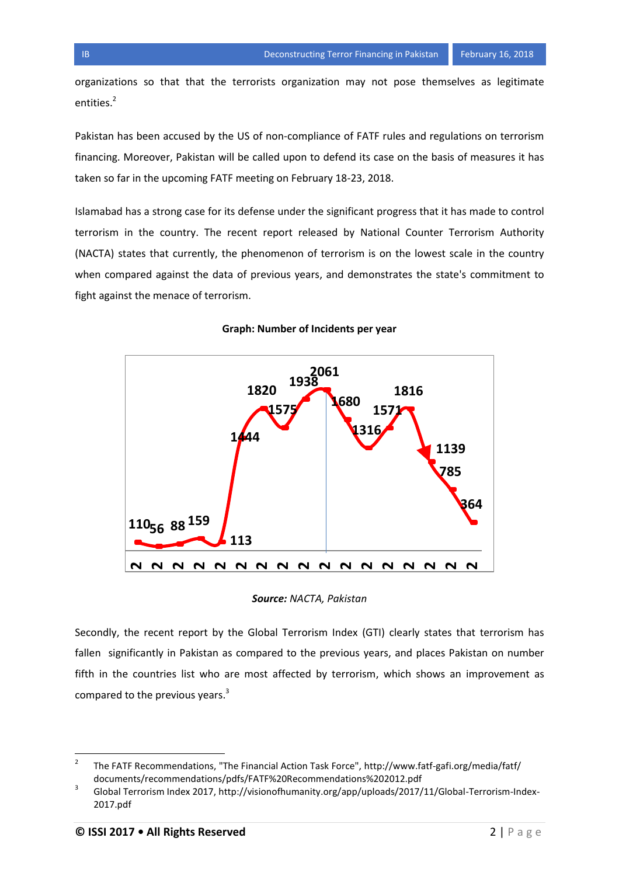organizations so that that the terrorists organization may not pose themselves as legitimate entities.<sup>2</sup>

Pakistan has been accused by the US of non-compliance of FATF rules and regulations on terrorism financing. Moreover, Pakistan will be called upon to defend its case on the basis of measures it has taken so far in the upcoming FATF meeting on February 18-23, 2018.

Islamabad has a strong case for its defense under the significant progress that it has made to control terrorism in the country. The recent report released by National Counter Terrorism Authority (NACTA) states that currently, the phenomenon of terrorism is on the lowest scale in the country when compared against the data of previous years, and demonstrates the state's commitment to fight against the menace of terrorism.



## **Graph: Number of Incidents per year**

*Source: NACTA, Pakistan*

Secondly, the recent report by the Global Terrorism Index (GTI) clearly states that terrorism has fallen significantly in Pakistan as compared to the previous years, and places Pakistan on number fifth in the countries list who are most affected by terrorism, which shows an improvement as compared to the previous years. $3$ 

 $\frac{1}{2}$ The FATF Recommendations, "The Financial Action Task Force", http://www.fatf-gafi.org/media/fatf/ documents/recommendations/pdfs/FATF%20Recommendations%202012.pdf

<sup>3</sup> Global Terrorism Index 2017, http://visionofhumanity.org/app/uploads/2017/11/Global-Terrorism-Index-2017.pdf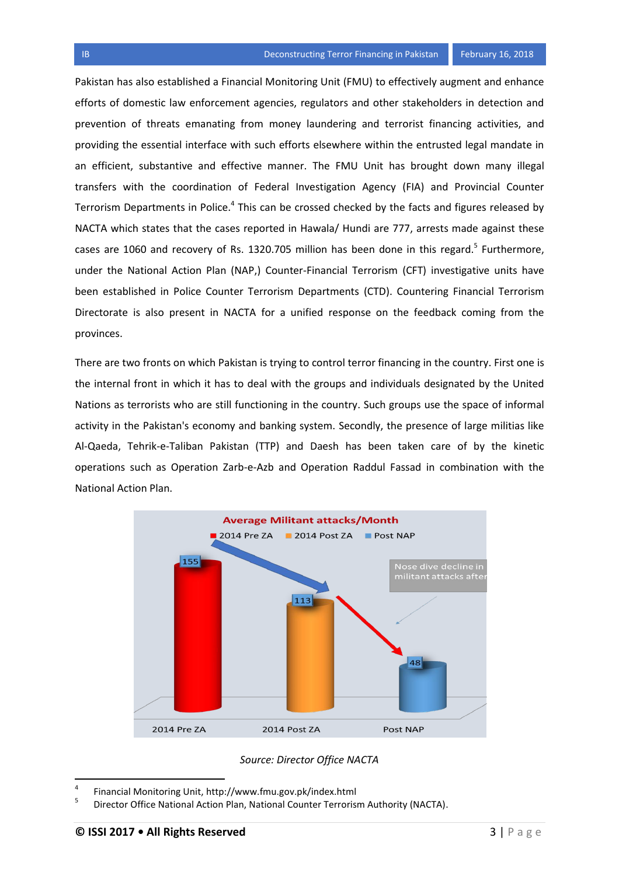Pakistan has also established a Financial Monitoring Unit (FMU) to effectively augment and enhance efforts of domestic law enforcement agencies, regulators and other stakeholders in detection and prevention of threats emanating from money laundering and terrorist financing activities, and providing the essential interface with such efforts elsewhere within the entrusted legal mandate in an efficient, substantive and effective manner. The FMU Unit has brought down many illegal transfers with the coordination of Federal Investigation Agency (FIA) and Provincial Counter Terrorism Departments in Police.<sup>4</sup> This can be crossed checked by the facts and figures released by NACTA which states that the cases reported in Hawala/ Hundi are 777, arrests made against these cases are 1060 and recovery of Rs. 1320.705 million has been done in this regard. $^5$  Furthermore, under the National Action Plan (NAP,) Counter-Financial Terrorism (CFT) investigative units have been established in Police Counter Terrorism Departments (CTD). Countering Financial Terrorism Directorate is also present in NACTA for a unified response on the feedback coming from the provinces.

There are two fronts on which Pakistan is trying to control terror financing in the country. First one is the internal front in which it has to deal with the groups and individuals designated by the United Nations as terrorists who are still functioning in the country. Such groups use the space of informal activity in the Pakistan's economy and banking system. Secondly, the presence of large militias like Al-Qaeda, Tehrik-e-Taliban Pakistan (TTP) and Daesh has been taken care of by the kinetic operations such as Operation Zarb-e-Azb and Operation Raddul Fassad in combination with the National Action Plan.



*Source: Director Office NACTA*

 $\overline{a}$ 

<sup>4</sup> Financial Monitoring Unit, http://www.fmu.gov.pk/index.html

<sup>5</sup> Director Office National Action Plan, National Counter Terrorism Authority (NACTA).